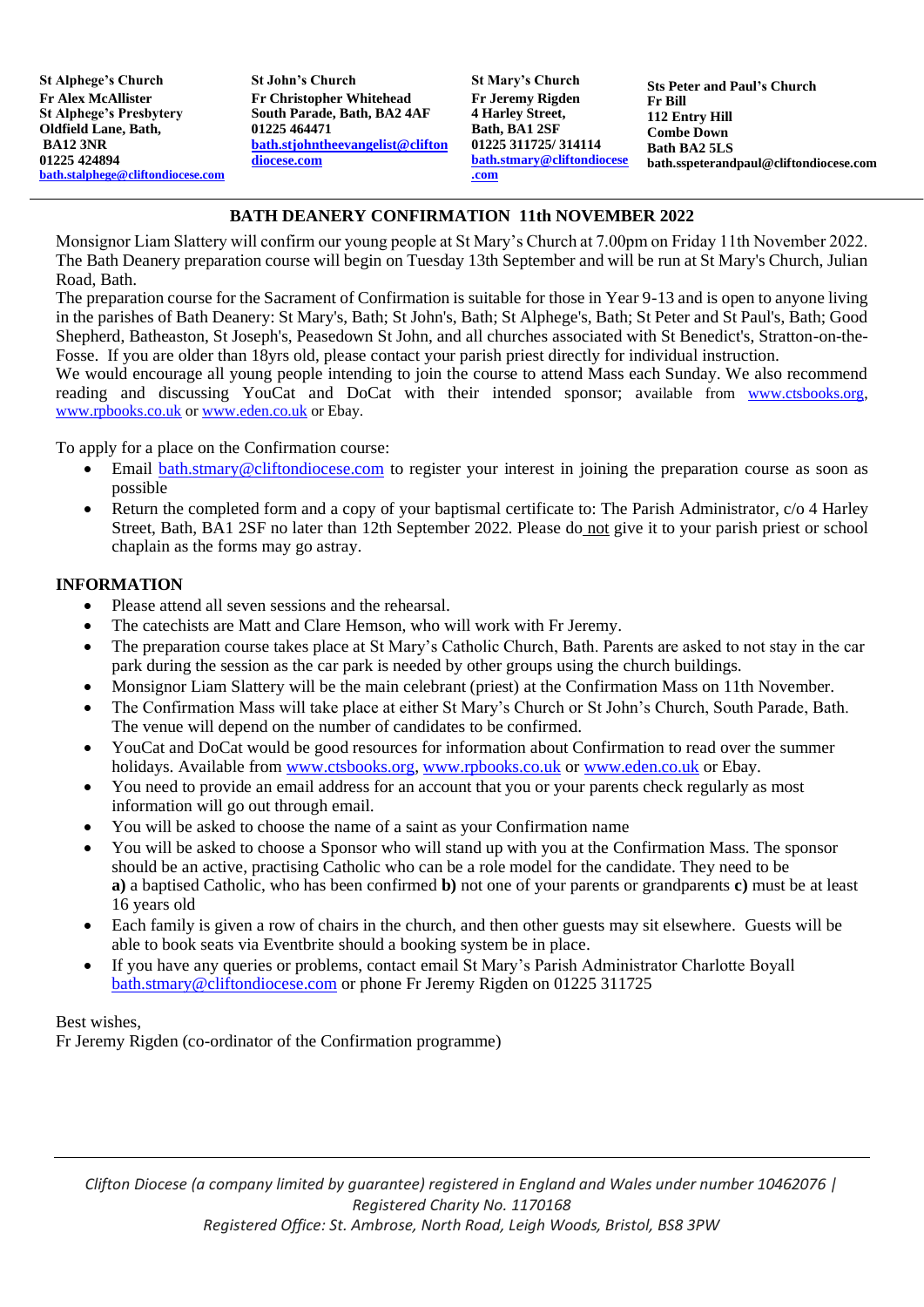**St Alphege's Church Fr Alex McAllister St Alphege's Presbytery Oldfield Lane, Bath, BA12 3NR 01225 424894 [bath.stalphege@cliftondiocese.com](mailto:bath.stalphege@cliftondiocese.com)** **St John's Church Fr Christopher Whitehead South Parade, Bath, BA2 4AF 01225 464471 [bath.stjohntheevangelist@clifton](mailto:bath.stjohntheevangelist@cliftondiocese.com) [diocese.com](mailto:bath.stjohntheevangelist@cliftondiocese.com)**

**St Mary's Church Fr Jeremy Rigden 4 Harley Street, Bath, BA1 2SF 01225 311725/ 314114 [bath.stmary@cliftondiocese](mailto:bath.stmary@cliftondiocese.com) [.com](mailto:bath.stmary@cliftondiocese.com)**

**Sts Peter and Paul's Church Fr Bill 112 Entry Hill Combe Down Bath BA2 5LS [bath.sspeterandpaul@cliftondiocese.com](mailto:stspeterpaulbath@btinternet.com)**

## **BATH DEANERY CONFIRMATION 11th NOVEMBER 2022**

Monsignor Liam Slattery will confirm our young people at St Mary's Church at 7.00pm on Friday 11th November 2022. The Bath Deanery preparation course will begin on Tuesday 13th September and will be run at St Mary's Church, Julian Road, Bath.

The preparation course for the Sacrament of Confirmation is suitable for those in Year 9-13 and is open to anyone living in the parishes of Bath Deanery: St Mary's, Bath; St John's, Bath; St Alphege's, Bath; St Peter and St Paul's, Bath; Good Shepherd, Batheaston, St Joseph's, Peasedown St John, and all churches associated with St Benedict's, Stratton-on-the-Fosse. If you are older than 18yrs old, please contact your parish priest directly for individual instruction.

We would encourage all young people intending to join the course to attend Mass each Sunday. We also recommend reading and discussing YouCat and DoCat with their intended sponsor; available from [www.ctsbooks.org,](http://www.ctsbooks.org/) [www.rpbooks.co.uk](http://www.rpbooks.co.uk/) or [www.eden.co.uk](http://www.eden.co.uk/) or Ebay.

To apply for a place on the Confirmation course:

- Email [bath.stmary@cliftondiocese.com](mailto:bath.stmary@cliftondiocese.com) to register your interest in joining the preparation course as soon as possible
- Return the completed form and a copy of your baptismal certificate to: The Parish Administrator, c/o 4 Harley Street, Bath, BA1 2SF no later than 12th September 2022. Please do not give it to your parish priest or school chaplain as the forms may go astray.

### **INFORMATION**

- Please attend all seven sessions and the rehearsal.
- The catechists are Matt and Clare Hemson, who will work with Fr Jeremy.
- The preparation course takes place at St Mary's Catholic Church, Bath. Parents are asked to not stay in the car park during the session as the car park is needed by other groups using the church buildings.
- Monsignor Liam Slattery will be the main celebrant (priest) at the Confirmation Mass on 11th November.
- The Confirmation Mass will take place at either St Mary's Church or St John's Church, South Parade, Bath. The venue will depend on the number of candidates to be confirmed.
- YouCat and DoCat would be good resources for information about Confirmation to read over the summer holidays. Available from [www.ctsbooks.org,](http://www.ctsbooks.org/) [www.rpbooks.co.uk](http://www.rpbooks.co.uk/) or [www.eden.co.uk](http://www.eden.co.uk/) or Ebay.
- You need to provide an email address for an account that you or your parents check regularly as most information will go out through email.
- You will be asked to choose the name of a saint as your Confirmation name
- You will be asked to choose a Sponsor who will stand up with you at the Confirmation Mass. The sponsor should be an active, practising Catholic who can be a role model for the candidate. They need to be **a)** a baptised Catholic, who has been confirmed **b)** not one of your parents or grandparents **c)** must be at least 16 years old
- Each family is given a row of chairs in the church, and then other guests may sit elsewhere. Guests will be able to book seats via Eventbrite should a booking system be in place.
- If you have any queries or problems, contact email St Mary's Parish Administrator Charlotte Boyall [bath.stmary@cliftondiocese.com](mailto:bath.stmary@cliftondiocese.com) or phone Fr Jeremy Rigden on 01225 311725

### Best wishes,

Fr Jeremy Rigden (co-ordinator of the Confirmation programme)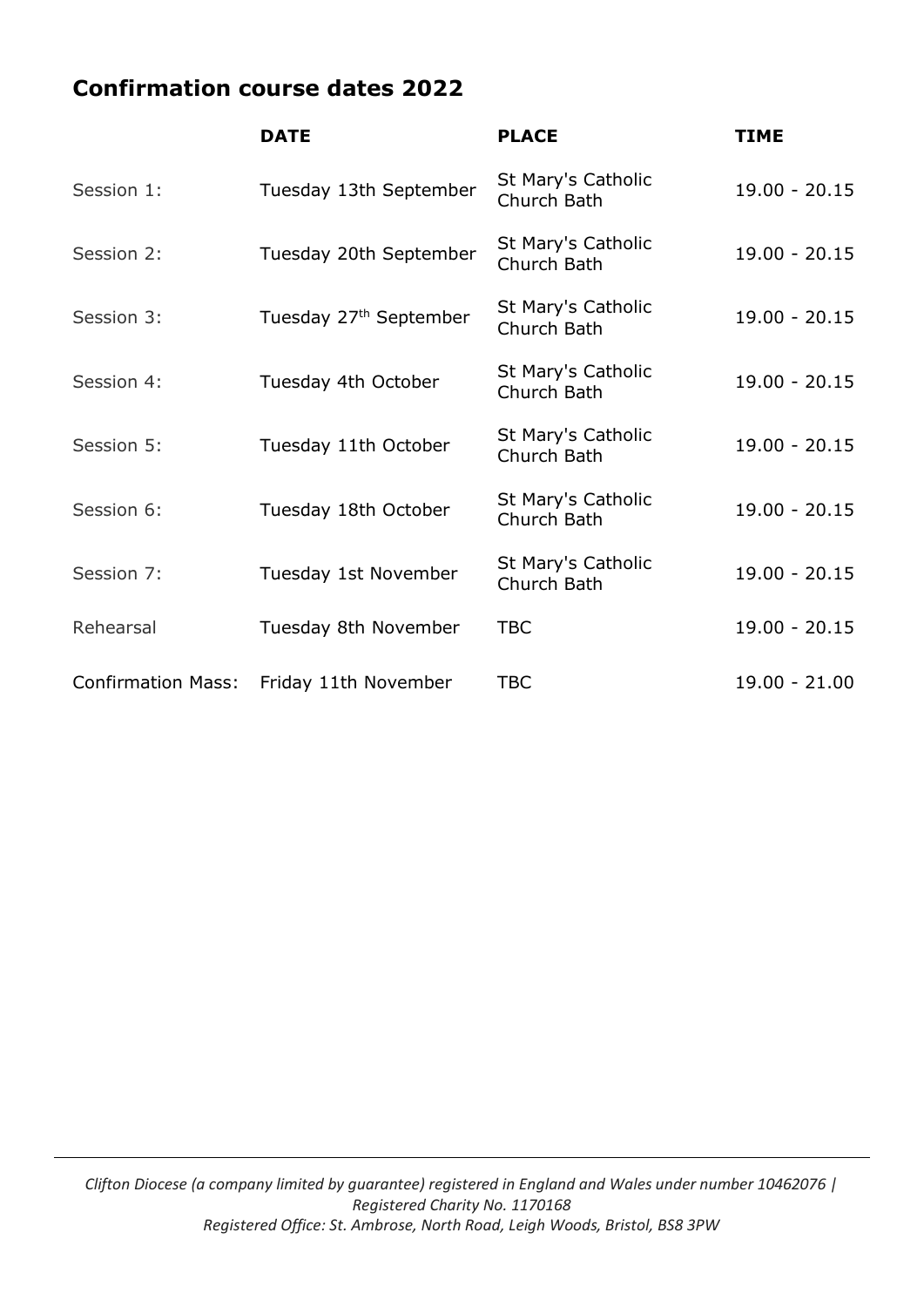# **Confirmation course dates 2022**

|                           | <b>DATE</b>                        | <b>PLACE</b>                      | <b>TIME</b>     |
|---------------------------|------------------------------------|-----------------------------------|-----------------|
| Session 1:                | Tuesday 13th September             | St Mary's Catholic<br>Church Bath | $19.00 - 20.15$ |
| Session 2:                | Tuesday 20th September             | St Mary's Catholic<br>Church Bath | $19.00 - 20.15$ |
| Session 3:                | Tuesday 27 <sup>th</sup> September | St Mary's Catholic<br>Church Bath | $19.00 - 20.15$ |
| Session 4:                | Tuesday 4th October                | St Mary's Catholic<br>Church Bath | $19.00 - 20.15$ |
| Session 5:                | Tuesday 11th October               | St Mary's Catholic<br>Church Bath | $19.00 - 20.15$ |
| Session 6:                | Tuesday 18th October               | St Mary's Catholic<br>Church Bath | $19.00 - 20.15$ |
| Session 7:                | Tuesday 1st November               | St Mary's Catholic<br>Church Bath | $19.00 - 20.15$ |
| Rehearsal                 | Tuesday 8th November               | <b>TBC</b>                        | $19.00 - 20.15$ |
| <b>Confirmation Mass:</b> | Friday 11th November               | <b>TBC</b>                        | $19.00 - 21.00$ |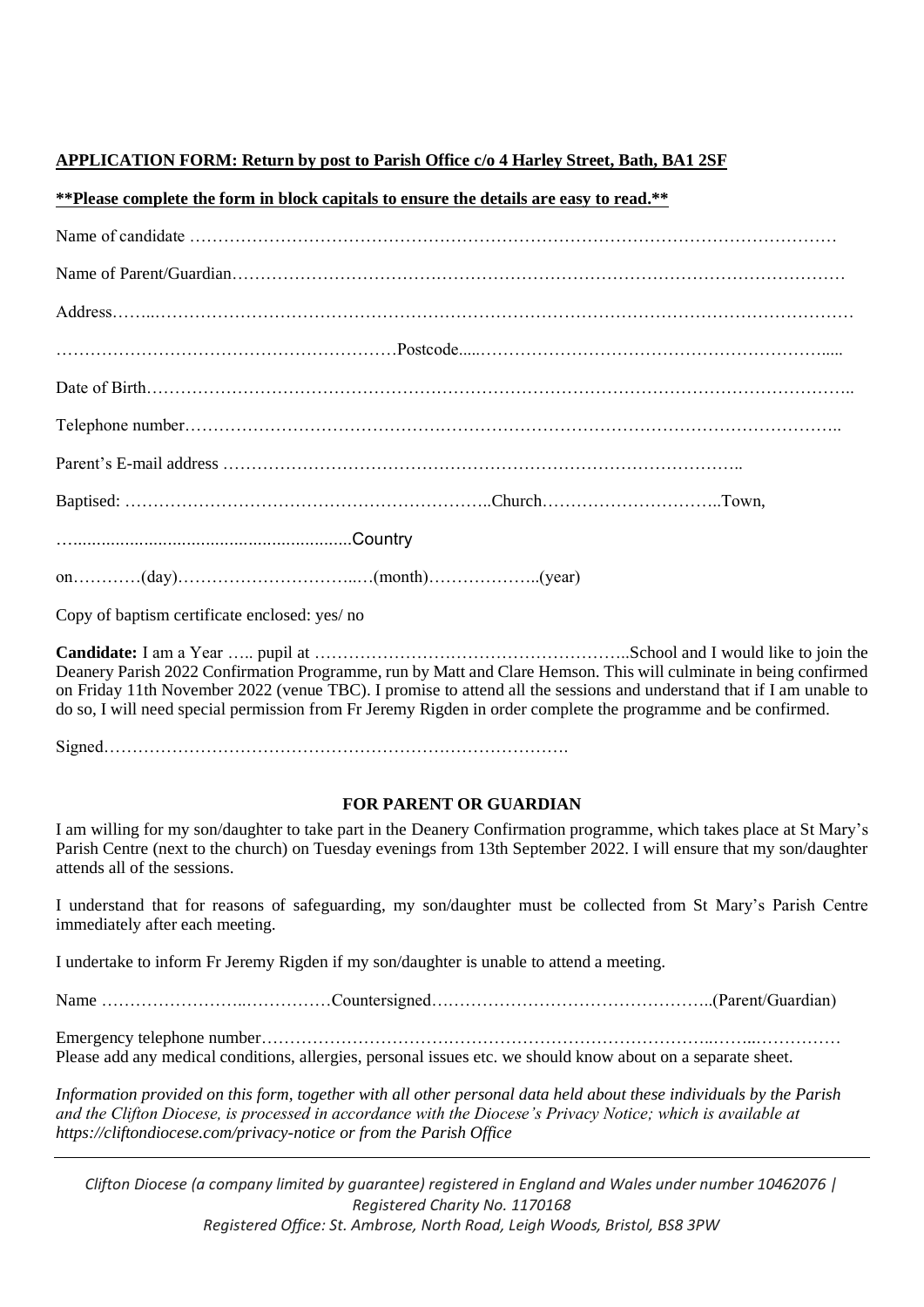### **APPLICATION FORM: Return by post to Parish Office c/o 4 Harley Street, Bath, BA1 2SF**

#### **\*\*Please complete the form in block capitals to ensure the details are easy to read.\*\***

| $on.\ldots.\ldots.(day).\ldots.\ldots.\ldots.\ldots.\ldots(month).\ldots.\ldots.\ldots.(year)$                                                                                                                                                                                                                                                            |  |  |  |
|-----------------------------------------------------------------------------------------------------------------------------------------------------------------------------------------------------------------------------------------------------------------------------------------------------------------------------------------------------------|--|--|--|
| Copy of baptism certificate enclosed: yes/ no                                                                                                                                                                                                                                                                                                             |  |  |  |
| Deanery Parish 2022 Confirmation Programme, run by Matt and Clare Hemson. This will culminate in being confirmed<br>on Friday 11th November 2022 (venue TBC). I promise to attend all the sessions and understand that if I am unable to<br>do so, I will need special permission from Fr Jeremy Rigden in order complete the programme and be confirmed. |  |  |  |
|                                                                                                                                                                                                                                                                                                                                                           |  |  |  |
| <b>FOR PARENT OR GUARDIAN</b>                                                                                                                                                                                                                                                                                                                             |  |  |  |
| I am willing for my son/daughter to take part in the Deanery Confirmation programme, which takes place at St Mary's<br>Parish Centre (next to the church) on Tuesday evenings from 13th September 2022. I will ensure that my son/daughter<br>attends all of the sessions.                                                                                |  |  |  |
| I understand that for reasons of safeguarding, my son/daughter must be collected from St Mary's Parish Centre<br>immediately after each meeting.                                                                                                                                                                                                          |  |  |  |
| I undertake to inform Fr Jeremy Rigden if my son/daughter is unable to attend a meeting.                                                                                                                                                                                                                                                                  |  |  |  |
|                                                                                                                                                                                                                                                                                                                                                           |  |  |  |

Emergency telephone number……………………………………………………………………..……..……………

Please add any medical conditions, allergies, personal issues etc. we should know about on a separate sheet.

*Information provided on this form, together with all other personal data held about these individuals by the Parish and the Clifton Diocese, is processed in accordance with the Diocese's Privacy Notice; which is available at https://cliftondiocese.com/privacy-notice or from the Parish Office*

*Clifton Diocese (a company limited by guarantee) registered in England and Wales under number 10462076 | Registered Charity No. 1170168 Registered Office: St. Ambrose, North Road, Leigh Woods, Bristol, BS8 3PW*